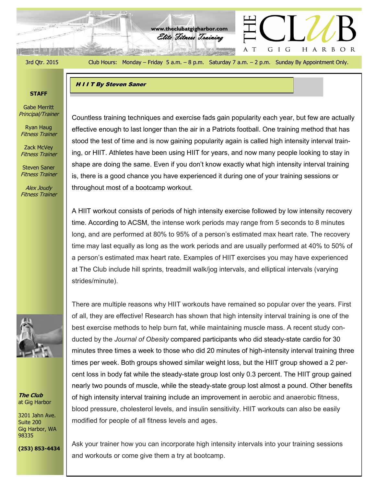$+$   $+$   $+$   $+$   $+$   $+$   $+$   $+$   $+$ 

3rd Qtr. 2015 Club Hours: Monday – Friday 5 a.m. – 8 p.m. Saturday 7 a.m. – 2 p.m. Sunday By Appointment Only.

G I G

A T

HARBOR

Elite Fitness Training **www.theclubatgigharbor.com**

**HIIT By Steven Saner** 

**READ BUILDING** 

# **STAFF**

Gabe Merritt Principal/Trainer

Ryan Haug Fitness Trainer

Zack McVey Fitness Trainer

Steven Saner Fitness Trainer

Alex Joudy Fitness Trainer



**The Club** at Gig Harbor

3201 Jahn Ave. Suite 200 Gig Harbor, WA 98335

**(253) 853-4434**

Countless training techniques and exercise fads gain popularity each year, but few are actually effective enough to last longer than the air in a Patriots football. One training method that has stood the test of time and is now gaining popularity again is called high intensity interval training, or HIIT. Athletes have been using HIIT for years, and now many people looking to stay in shape are doing the same. Even if you don't know exactly what high intensity interval training is, there is a good chance you have experienced it during one of your training sessions or throughout most of a bootcamp workout.

A HIIT workout consists of periods of high intensity exercise followed by low intensity recovery time. According to ACSM, the intense work periods may range from 5 seconds to 8 minutes long, and are performed at 80% to 95% of a person's estimated max heart rate. The recovery time may last equally as long as the work periods and are usually performed at 40% to 50% of a person's estimated max heart rate. Examples of HIIT exercises you may have experienced at The Club include hill sprints, treadmill walk/jog intervals, and elliptical intervals (varying strides/minute).

There are multiple reasons why HIIT workouts have remained so popular over the years. First of all, they are effective! Research has shown that high intensity interval training is one of the best exercise methods to help burn fat, while maintaining muscle mass. A recent study conducted by the *Journal of Obesity* compared participants who did steady-state cardio for 30 minutes three times a week to those who did 20 minutes of high-intensity interval training three times per week. Both groups showed similar weight loss, but the HIIT group showed a 2 percent loss in body fat while the steady-state group lost only 0.3 percent. The HIIT group gained nearly two pounds of muscle, while the steady-state group lost almost a pound. Other benefits of high intensity interval training include an improvement in aerobic and anaerobic fitness, blood pressure, cholesterol levels, and insulin sensitivity. HIIT workouts can also be easily modified for people of all fitness levels and ages.

Ask your trainer how you can incorporate high intensity intervals into your training sessions and workouts or come give them a try at bootcamp.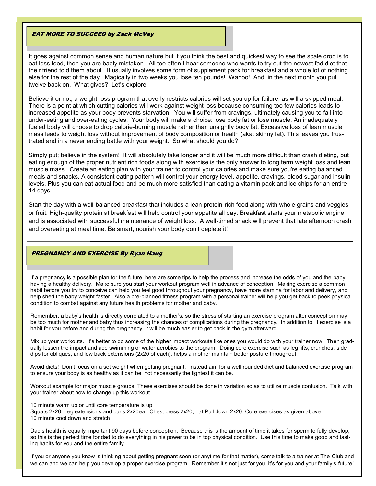## **EAT MORE TO SUCCEED by Zack McVey**

It goes against common sense and human nature but if you think the best and quickest way to see the scale drop is to eat less food, then you are badly mistaken. All too often I hear someone who wants to try out the newest fad diet that their friend told them about. It usually involves some form of supplement pack for breakfast and a whole lot of nothing else for the rest of the day. Magically in two weeks you lose ten pounds! Wahoo! And in the next month you put twelve back on. What gives? Let's explore.

Believe it or not, a weight-loss program that overly restricts calories will set you up for failure, as will a skipped meal. There is a point at which cutting calories will work against weight loss because consuming too few calories leads to increased appetite as your body prevents starvation. You will suffer from cravings, ultimately causing you to fall into under-eating and over-eating cycles. Your body will make a choice: lose body fat or lose muscle. An inadequately fueled body will choose to drop calorie-burning muscle rather than unsightly body fat. Excessive loss of lean muscle mass leads to weight loss without improvement of body composition or health (aka: skinny fat). This leaves you frustrated and in a never ending battle with your weight. So what should you do?

Simply put; believe in the system! It will absolutely take longer and it will be much more difficult than crash dieting, but eating enough of the proper nutrient rich foods along with exercise is the only answer to long term weight loss and lean muscle mass. Create an eating plan with your trainer to control your calories and make sure you're eating balanced meals and snacks. A consistent eating pattern will control your energy level, appetite, cravings, blood sugar and insulin levels. Plus you can eat actual food and be much more satisfied than eating a vitamin pack and ice chips for an entire 14 days.

Start the day with a well-balanced breakfast that includes a lean protein-rich food along with whole grains and veggies or fruit. High-quality protein at breakfast will help control your appetite all day. Breakfast starts your metabolic engine and is associated with successful maintenance of weight loss. A well-timed snack will prevent that late afternoon crash and overeating at meal time. Be smart, nourish your body don't deplete it!

### PREGNANCY AND EXERCISE By Ryan Haug

If a pregnancy is a possible plan for the future, here are some tips to help the process and increase the odds of you and the baby having a healthy delivery. Make sure you start your workout program well in advance of conception. Making exercise a common habit before you try to conceive can help you feel good throughout your pregnancy, have more stamina for labor and delivery, and help shed the baby weight faster. Also a pre-planned fitness program with a personal trainer will help you get back to peek physical condition to combat against any future health problems for mother and baby.

Remember, a baby's health is directly correlated to a mother's, so the stress of starting an exercise program after conception may be too much for mother and baby thus increasing the chances of complications during the pregnancy. In addition to, if exercise is a habit for you before and during the pregnancy, it will be much easier to get back in the gym afterward.

Mix up your workouts. It's better to do some of the higher impact workouts like ones you would do with your trainer now. Then gradually lessen the impact and add swimming or water aerobics to the program. Doing core exercise such as leg lifts, crunches, side dips for obliques, and low back extensions (2x20 of each), helps a mother maintain better posture throughout.

Avoid diets! Don't focus on a set weight when getting pregnant. Instead aim for a well rounded diet and balanced exercise program to ensure your body is as healthy as it can be, not necessarily the lightest it can be.

Workout example for major muscle groups: These exercises should be done in variation so as to utilize muscle confusion. Talk with your trainer about how to change up this workout.

10 minute warm up or until core temperature is up

Squats 2x20, Leg extensions and curls 2x20ea., Chest press 2x20, Lat Pull down 2x20, Core exercises as given above. 10 minute cool down and stretch

Dad's health is equally important 90 days before conception. Because this is the amount of time it takes for sperm to fully develop, so this is the perfect time for dad to do everything in his power to be in top physical condition. Use this time to make good and lasting habits for you and the entire family.

If you or anyone you know is thinking about getting pregnant soon (or anytime for that matter), come talk to a trainer at The Club and we can and we can help you develop a proper exercise program. Remember it's not just for you, it's for you and your family's future!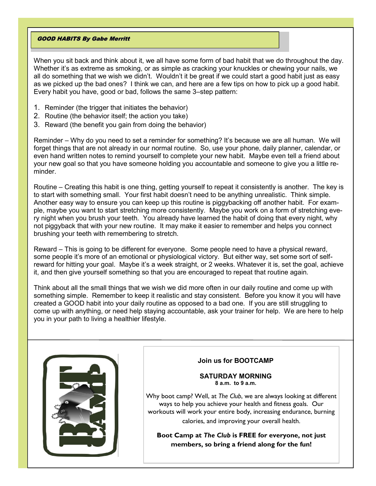# GOOD HABITS By Gabe Merritt

When you sit back and think about it, we all have some form of bad habit that we do throughout the day. Whether it's as extreme as smoking, or as simple as cracking your knuckles or chewing your nails, we all do something that we wish we didn't. Wouldn't it be great if we could start a good habit just as easy as we picked up the bad ones? I think we can, and here are a few tips on how to pick up a good habit. Every habit you have, good or bad, follows the same 3–step pattern:

- 1. Reminder (the trigger that initiates the behavior)
- 2. Routine (the behavior itself; the action you take)
- 3. Reward (the benefit you gain from doing the behavior)

Reminder – Why do you need to set a reminder for something? It's because we are all human. We will forget things that are not already in our normal routine. So, use your phone, daily planner, calendar, or even hand written notes to remind yourself to complete your new habit. Maybe even tell a friend about your new goal so that you have someone holding you accountable and someone to give you a little reminder.

Routine – Creating this habit is one thing, getting yourself to repeat it consistently is another. The key is to start with something small. Your first habit doesn't need to be anything unrealistic. Think simple. Another easy way to ensure you can keep up this routine is piggybacking off another habit. For example, maybe you want to start stretching more consistently. Maybe you work on a form of stretching every night when you brush your teeth. You already have learned the habit of doing that every night, why not piggyback that with your new routine. It may make it easier to remember and helps you connect brushing your teeth with remembering to stretch.

Reward – This is going to be different for everyone. Some people need to have a physical reward, some people it's more of an emotional or physiological victory. But either way, set some sort of selfreward for hitting your goal. Maybe it's a week straight, or 2 weeks. Whatever it is, set the goal, achieve it, and then give yourself something so that you are encouraged to repeat that routine again.

Think about all the small things that we wish we did more often in our daily routine and come up with something simple. Remember to keep it realistic and stay consistent. Before you know it you will have created a GOOD habit into your daily routine as opposed to a bad one. If you are still struggling to come up with anything, or need help staying accountable, ask your trainer for help. We are here to help you in your path to living a healthier lifestyle.



# **Join us for BOOTCAMP**

### **SATURDAY MORNING 8 a.m. to 9 a.m.**

Why boot camp? Well, at *The Club*, we are always looking at different ways to help you achieve your health and fitness goals. Our workouts will work your entire body, increasing endurance, burning calories, and improving your overall health.

**Boot Camp at** *The Club* **is FREE for everyone, not just members, so bring a friend along for the fun!**